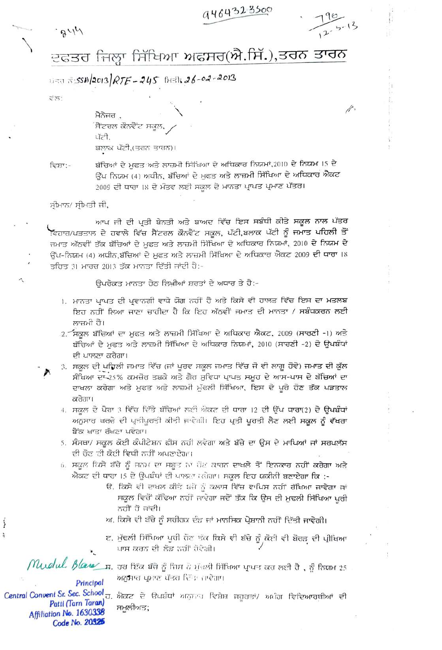9464323500

 $.844$ 



 $\mu$ 

ਦਫਤਰ ਜਿਲ੍ਹਾ ਸਿੱਖਿਆ ਅਫਸਰ(ਐ.ਸਿੱ.),ਤਰਨ ਤਾਰਨ

 $43.5$  358/2013/RTE - 245 B+31; 26-02-2013

र ल :

ਮੈਨੇਜਰ , ਸੈਂਟਰਲ ਕੋਨਵੈਂਟ ਸਕੂਲ, ਪੱਟੀ, ਬਲਾਕ ਪੱਟੀ,(ਤਰਨ ਤਾਰਨ)।

ਵਿਸ਼ਾ:-

ਬੱਚਿਆਂ ਦੇ ਮੁਫਤ ਅਤੇ ਲਾਜ਼ਮੀ ਸਿੱਖਿਆ ਦੇ ਅਧਿਕਾਰ ਨਿਯਮਾਂ,2010 ਦੇ ਨਿਯਮ 15 ਦੇ ਉੱਪ ਨਿਯਮ (4) ਅਧੀਨ, ਬੱਚਿਆਂ ਦੇ ਮੁਫਤ ਅਤੇ ਲਾਜ਼ਮੀ ਸਿੱਖਿਆ ਦੇ ਅਧਿਕਾਰ ਐਕਟ 2009 ਦੀ ਧਾਰਾ ।8 ਦੇ ਮੰਤਵ ਲਈ ਸਕਲ ਦੇ ਮਾਨਤਾ ਪ੍ਰਾਪਤ ਪ੍ਰਮਾਣ ਪੱਤਰ।

ਸ਼੍ਰੀਮਾਨ/ ਸ੍ਰੀਮਤੀ ਜੀ,

ਆਪ ਜੀ ਦੀ ਪ੍ਰਤੀ ਬੇਨਤੀ ਅਤੇ ਬਾਅਦ ਵਿੱਚ ਇਸ ਸਬੰਧੀ ਕੀਤੇ ਸਕੂਲ ਨਾਲ ਪੱਤਰ ਵਿਹਾਰ/ਪੜਤਾਲ ਦੇ ਹਵਾਲੇ ਵਿੱਚ ਸੈਂਟਰਲ ਕੌਨਵੈਂਟ ਸਕੂਲ, ਪੱਟੀ,ਬਲਾਕ ਪੱਟੀ ਨੂੰ ਜਮਾਤ <mark>ਪਹਿਲੀ ਤੋ</mark>ਂ ਜਮਾਤ ਅੱਠਵੀਂ ਤੱਕ ਬੱਚਿਆਂ ਦੇ ਮੁਫਤ ਅਤੇ ਲਾਜ਼ਮੀ ਸਿੱਖਿਆ ਦੇ ਅਧਿਕਾਰ ਨਿਯਮਾਂ, 2010 ਦੇ ਨਿਯਮ ਦੇ ਉੱਪ-ਨਿਯਮ (4) ਅਧੀਨ,ਬੱਚਿਆਂ ਦੇ ਮੁਫਤ ਅਤੇ ਲਾਜ਼ਮੀ ਸਿੱਖਿਆ ਦੇ ਅਧਿਕਾਰ ਐਕਟ 2009 ਦੀ ਧਾਰਾ ।8 ਤਹਿਤ 31 ਮਾਰਚ 2013 ਤੱਕ ਮਾਨਤਾ ਦਿੱਤੀ ਜਾਂਦੀ ਹੈ:-

ਉਪਰੋਕਤ ਮਾਨਤਾ ਹੇਠ ਲਿਖੀਆਂ ਸ਼ਰਤਾਂ ਦੇ ਅਧਾਰ ਤੇ ਹੈ:-

- ।. ਮਾਨਤਾ ਪ੍ਰਾਪਤ ਦੀ ਪ੍ਰਵਾਨਗੀ ਵਾਧੇ ਯੋਗ ਨਹੀਂ ਹੈ ਅਤੇ ਕਿਸੇ ਵੀ ਹਾਲਤ ਵਿੱਚ ਇਸ ਦਾ ਮਤਲਬ ਇਹ ਨਹੀਂ ਲਿਆ ਜਾਣਾ ਚਾਹੀਦਾ ਹੈ ਕਿ ਇਹ ਅੱਠਵੀਂ ਜਮਾਤ ਦੀ ਮਾਨਤਾ / ਸਬੰਧਕਰਨ ਲਈ ਲਾਜ਼ਮੀ ਹੈ।
- 2. ਸਕੂਲ ਬੱਚਿਆਂ ਦਾ ਮੁਫਤ ਅਤੇ ਲਾਜ਼ਮੀ ਸਿੱਖਿਆ ਦੇ ਅਧਿਕਾਰ ਐਕਟ, 2009 (ਸਾਰਣੀ -1) ਅਤੇ ਬੱਚਿਆਂ ਦੇ ਮਫਤ ਅਤੇ ਲਾਜ਼ਮੀ ਸਿੱਖਿਆ ਦੇ ਅਧਿਕਾਰ ਨਿਯਮਾਂ, 2010 (ਸਾਰਣੀ -2) ਦੇ ਉਪਬੰਧਾਂ ਦੀ ਪਾਲਣਾ ਕਰੇਗਾ।
- 3. ਸਕੂਲ ਦੀ ਪਹਿਲੀ ਜਮਾਤ ਵਿੱਚ (ਜਾਂ ਪੂਰਵ ਸਕੂਲ ਜਮਾਤ ਵਿੱਚ ਜੋ ਵੀ ਲਾਗੂ ਹੋਵੇ) ਜਮਾਤ ਦੀ ਕੁੱਲ ਸੰਖਿਆ ਦਾ 25% ਕਮਜ਼ੋਰ ਤਬਕੇ ਅਤੇ ਗੈਰ ਸੁਵਿਧਾ ਪ੍ਰਾਪਤ ਸਮੂਹ ਦੇ ਆਸ-ਪਾਸ ਦੇ ਬੱਚਿਆਂ ਦਾ ਦਾਖਲਾ ਕਰੇਗਾ ਅਤੇ ਮੁਫਤ ਅਤੇ ਲਾਜ਼ਮੀ ਮੁੱਢਲੀ ਸਿੱਖਿਆ, ਇਸ ਦੇ ਪੂਰੇ ਹੋਣ ਤੱਕ ਪੜਤਾਲ ਕਰੇਗਾ।
	- 4. ਸਕਲ ਦੇ ਪੈਗਾ 3 ਵਿੱਚ ਦਿੱਤੇ ਬੱਚਿਆਂ ਲਈ ਐਕਟ ਦੀ ਧਾਰਾ 12 ਦੀ ਉੱਪ **ਧਾਰਾ(2) ਦੇ ਉਪਬੰਧਾਂ** ਅਨੁਸਾਰ ਖਰਚੇ ਦੀ ਪ੍ਰਤੀਪੂਰਤੀ ਕੀਤੀ ਜਾਵੇਗੀ। ਇਹ ਪ੍ਰਤੀ ਪੁਰਤੀ ਲੈਣ ਲਈ ਸਕੂਲ ਨੂੰ ਵੱਖਰਾ ਬੈਂਕ ਖਾਤਾ ਰੱਖਣਾ ਪਵੇਗਾ।
	- 5. ਸੰਸਥਾ/ ਸਕੂਲ ਕੋਈ ਕੰਪੀਟੇਸ਼ਨ ਫੀਸ ਨਹੀ ਲਵੇਗਾ ਅਤੇ ਬੱਚੇ ਦਾ ਉਸ ਦੇ ਮਾਪਿਆਂ ਜਾਂ ਸਰਪਲੱਸ ਦੀ ਚੋਣ ਟੀ ਕੋਈ ਵਿਧੀ ਨਹੀਂ ਅਪਣਾਏਗਾ।
	- 6. ਸਕੂਲ ਕਿਸੇ ਬੱਚੇ ਨੂੰ ਜਨਮ ਦਾ ਸਬੂਤ ਨਾ ਹੋਣ ਕਾਰਨ ਦਾਖਲੇ ਤੋਂ ਇਨਕਾਰ ਨਹੀਂ ਕਰੇਗਾ ਅਤੇ ਐਕਟ ਦੀ ਧਾਰਾ 15 ਦੇ ਉਪਬੰਧਾਂ ਦੀ ਪਾਲਟਾ ਕਰੇਗਾ। ਸਕੂਲ ਇਹ ਯਕੀਨੀ ਬਣਾਏਗਾ ਕਿ :-
		- ੳ, ਕਿਸੇ ਵੀ ਦਾਖਲ ਕੀਤੇ ਬਚੇ ਨੂੰ ਕਲਾਸ ਵਿੱਚ ਵਾਪਿਸ ਨਹੀਂ ਰੱਖਿਆ ਜਾਵੇਗਾ ਜਾਂ ਸਕੂਲ ਵਿਚੋਂ ਕੱਢਿਆ ਨਹੀਂ ਜਾਵੇਗਾ ਜਦੋਂ ਤੱਕ ਕਿ ਉਸ ਦੀ ਮੁਢਲੀ ਸਿੱਖਿਆ ਪੂਰੀ ਨਹੀਂ ਹੋ ਜਾਂਦੀ।
		- ਅ, ਕਿਸੇ ਵੀ ਬੱਚੇ ਨੂੰ ਸਰੀਹਕ ਦੰਡ ਜਾਂ ਮਾਨਸਿਕ ਪ੍ਰੇਸ਼ਾਨੀ ਨਹੀਂ ਦਿੱਤੀ ਜਾਵੇਗੀ।
		- ੲ. ਮੁੱਢਲੀ ਸਿੱਖਿਆ ਪੂਰੀ ਹੋਣ ਝੱਕ ਕਿਸੇ ਵੀ ਬੱਚੇ ਨੂੰ ਕੋਈ ਵੀ ਬੋਰਡ ਦੀ ਪ੍ਰੀਖਿਆ ਪਾਸ ਕਰਨ ਦੀ ਲੋੜ ਨਹੀਂ ਹੋਵੇਗੀ।

Muelul. Blan n. ਹਰ ਇੱਕ ਬੱਚੇ ਨੂੰ ਜਿਸ ਨੇ ਮੁੱਖਲੀ ਸਿੱਖਿਆ ਪ੍ਰਾਪਤ ਕਰ ਲਈ ਹੈ, ਨੂੰ ਨਿਯਮ 25 ਅਨੁਸਾਰ ਪ੍ਰਮਾਣ ਪੱਤਰ ਵਿੱਤਾ ਜਾਵੇਗਾ।

Principal Pattl (Tarn Taran) Affiliation No. 1630338 Code No. 20325

Í Ą

> Central Convent Sr. Sec. School J. ਐਕਟ ਦੇ ਉਪਬੰਧਾਂ ਅਨੁਸਾਰ ਵਿਸ਼ੇਸ਼ ਜਹੂਰਤਾਂ/ ਅਪੀਗ ਵਿਦਿਆਰਥੀਆਂ ਦੀ ਸਮੂਲੀਅਤ;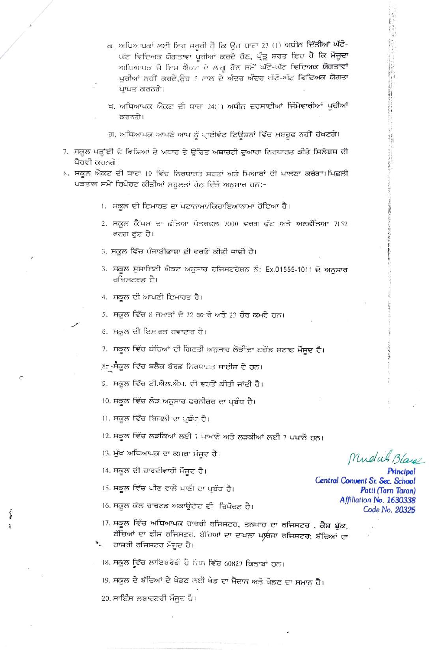- ਕ. ਅਧਿਆਪਕਾਂ ਲਈ ਇਹ ਜਰੂਰੀ ਹੈ ਕਿ ਉਹ ਧਾਰਾ 23 (1) ਅਧੀਨ ਦਿੱਤੀਆਂ ਘੱਟੋ-ਘੱਟ ਵਿਦਿਅਕ ਯੋਗਤਾਵਾਂ ਪੂਰੀਆਂ ਕਰਦੇ ਹੋਣ, ਪ੍ਰੰਤੂ ਸ਼ਰਤ ਇਹ ਹੈ ਕਿ ਮੌਜੂਦਾ ਅਧਿਆਪਕ ਜੋ ਇਸ ਐਕਟ ਦੇ ਲਾਗੂ ਹੋਣ ਸਮੇਂ ਘੱਟੋ-ਘੱਟ ਵਿਦਿਅਕ ਯੋਗਤਾਵਾਂ ਪੂਰੀਆਂ ਨਹੀਂ ਕਰਦੇ,ਉਹ 5 ਸਾਲ ਦੇ ਅੰਦਰ ਅੰਦਰ ਘੱਟੋ-ਘੱਟ ਵਿਦਿਅਕ ਯੋਗਤਾ ਪਾਪਤ ਕਰਨਗੇ।
- ਖ. ਅਧਿਆਪਕ ਐਕਟ ਦੀ ਧਾਰਾ 24(1) ਅਧੀਨ ਦਰਸਾਈਆਂ ਜਿੰਮੇਵਾਰੀਆਂ ਪੂਰੀਆਂ ਕਰਨਗੇ।
- ਗ. ਅਧਿਆਪਕ ਆਪਣੇ ਆਪ ਨੂੰ ਪ੍ਰਾਈਵੇਟ ਟਿਊਸ਼ਨਾਂ ਵਿੱਚ ਮਸ਼ਰੂਫ ਨਹੀਂ ਰੱਖਣਗੇ।
- 7. ਸਕੂਲ ਪੜ੍ਹਾਈ ਦੇ ਵਿਸ਼ਿਆਂ ਦੇ ਅਧਾਰ ਤੇ ਉਚਿਤ ਅਥਾਰਟੀ ਦੁਆਰਾ ਨਿਰਧਾਰਤ ਕੀਤੇ ਸਿਲੇਬਸ ਦੀ ਪੈਰਵੀ ਕਰਨਗੇ।
- 8. ਸਕੂਲ ਐਕਟ ਦੀ ਧਾਰਾ 19 ਵਿੱਚ ਨਿਰਧਾਰਤ ਸ਼ਰਤਾਂ ਅਤੇ ਮਿਆਰਾਂ ਦੀ ਪਾਲਣਾ ਕਰੇਗਾ।ਪਿਛਲੀ ਪੜਤਾਲ ਸਮੇਂ ਰਿਪੋਰਟ ਕੀਤੀਆਂ ਸਹੂਲਤਾਂ ਹੇਠ ਦਿੱਤੇ ਅਨੁਸਾਰ ਹਨ:-
	- ।. ਸਕੂਲ ਦੀ ਇਮਾਰਤ ਦਾ ਪਟਾਨਾਮਾ/ਕਿਰਾਇਆਨਾਮਾ ਹੋਇਆ ਹੈ।
	- 2. ਸਕੂਲ ਕੈਂਪਸ ਦਾ ਛੱਤਿਆ ਖੇਤਰਫਲ 7000 ਵਰਗ ਫੁੱਟ ਅਤੇ ਅਣਛੱਤਿਆ 7152 ਵਰਗ ਫੁੱਟ ਹੈ।
	- 3. ਸਕੂਲ ਵਿੱਚ ਪੰਜਾਬੀਭਾਸ਼ਾ ਦੀ ਵਰਤੋਂ ਕੀਤੀ ਜਾਂਦੀ ਹੈ।
	- 3. ਸਕੂਲ ਸੁਸਾਇਟੀ ਐਕਟ ਅਨੁਸਾਰ ਰਜਿਸਟਰੇਸ਼ਨ ਨੰ: Ex.01555-1011 ਦੇ ਅਨੁਸਾਰ ਰਜਿਸਟਰਡ ਹੈ।
	- 4. ਸਕੂਲ ਦੀ ਆਪਣੀ ਇਮਾਰਤ ਹੈ।
	- 5. ਸਕੂਲ ਵਿੱਚ 8 ਜਮਾਤਾਂ ਦੇ 22 ਕਮਰੇ ਅਤੇ 23 ਹੋਰ ਕਮਰੇ ਹਨ।
	- 6. ਸਕੂਲ ਦੀ ਇਮਾਰਤ ਹਵਾਦਾਰ ਹੈ।
	- 7. ਸਕੂਲ ਵਿੱਚ ਬੱਚਿਆਂ ਦੀ ਗਿਣਤੀ ਅਨੁਸਾਰ ਲੋੜੀਂਦਾ ਟਰੇਂਡ ਸਟਾਫ ਮੌਜੂਦ ਹੈ।
	- ,੪: ਮੈਕੂਲ ਵਿੱਚ ਬਲੈਕ ਬੋਰਡ ਨਿਰਧਾਰਤ ਸਾਈਜ਼ ਦੇ ਹਨ।
	- 9. ਸਕੂਲ ਵਿੱਚ ਟੀ.ਐਲ.ਐਮ. ਦੀ ਵਰਤੋਂ ਕੀਤੀ ਜਾਂਦੀ ਹੈ।
	- ।0. ਸਕੂਲ ਵਿੱਚ ਲੋੜ ਅਨੁਸਾਰ ਫਰਨੀਚਰ ਦਾ ਪ੍ਰਬੰਧ ਹੈ।
	- ।।. ਸਕੂਲ ਵਿੱਚ ਬਿਜਲੀ ਦਾ ਪ੍ਰਬੰਧ ਹੈ।

12. ਸਕੂਲ ਵਿੱਚ ਲੜਕਿਆਂ ਲਈ 7 ਪਾਖਾਨੇ ਅਤੇ ਲੜਕੀਆਂ ਲਈ 7 ਪਖਾਨੇ ਹਨ।

- 13. ਮੁੱਖ ਅਧਿਆਪਕ ਦਾ ਕਮਰਾ ਮੌਜਦ ਹੈ।
- 14. ਸਕੂਲ ਦੀ ਚਾਰਦੀਵਾਰੀ ਮੌਜੂਦ ਹੈ।
- ।5. ਸਕੂਲ ਵਿੱਚ ਪੀਣ ਵਾਲੇ ਪਾਣੀ ਦਾ ਪ੍ਰਬੰਧ ਹੈ।
- ।6. ਸਕੂਲ ਕੋਲ ਚਾਰਟਡ ਅਕਾਊਟੋਟ ਦੀ ਰਿਪੋਰਟ ਹੈ।
- 17. ਸਕੂਲ ਵਿੱਚ ਅਧਿਆਪਕ ਹਾਜ਼ਹੀ ਰਜਿਸਟਰ, ਤਨਖਾਹ ਦਾ ਰਜਿਸਟਰ , ਕੈਸ਼ ਬੁੱਕ, ਬੱਚਿਆਂ ਦਾ ਫੀਸ ਰਜਿਸਟਰ, ਬੱਚਿਆਂ ਦਾ ਦਾਖਲਾ ਖਾਰਜਾ ਰਜਿਸਟ**ਰ, ਬੱਚਿਆਂ** ਦਾ

ਹਾਜ਼ਰੀ ਰਜਿਸਟਰ ਮੌਜੂਦ ਹੈ।

।੪. ਸਕੂਲ ਵਿੱਚ ਲਾਇਬਰੇਰੀ ਹੈ ਜਿਸ ਵਿੱਚ 60823 ਕਿਤਾਬਾਂ ਹਨ।

19. ਸਕੂਲ ਦੇ ਬੱਚਿਆਂ ਦੇ ਖੇਡਣ ਲਈ ਖੇਡ ਦਾ ਮੈਦਾਨ ਅਤੇ ਖੇਡਣ ਦਾ ਸਮਾਨ ਹੈ।

20. ਸਾਇੰਸ ਲਬਾਰਟਰੀ ਮੌਜਦ ਹੈ।

Mudul Blay

Principal Central Convent Sr. Sec. School Patti (Tarn Taran) Affiliation No. 1630338 Code No. 20325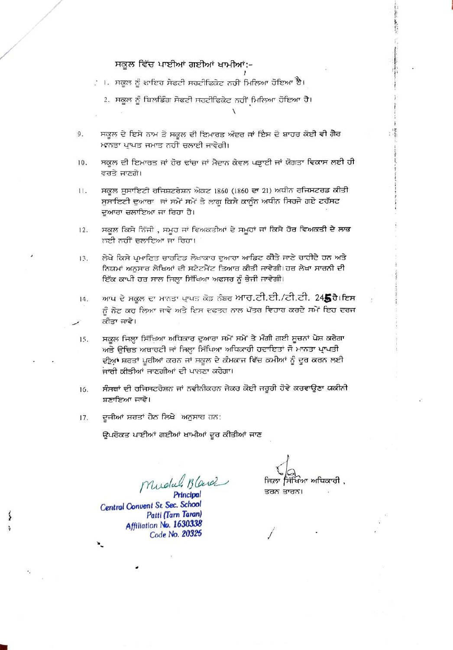## ਸਕੂਲ ਵਿੱਚ ਪਾਈਆਂ ਗਈਆਂ ਖਾਮੀਆਂ:-

- ਂ ।. ਸਕੂਲ ਨੂੰ ਫਾਇਰ ਸੇਫਟੀ ਸਰਟੀਫਿਕੇਟ ਨਹੀਂ ਮਿਲਿਆ ਹੋਇਆ ਹੈ।
	- 2. ਸਕੂਲ ਨੂੰ ਬਿਲਡਿੰਗ ਸੇਫਟੀ ਸਰਟੀਫਿਕੇਟ ਨਹੀਂ ਮਿਲਿਆ ਹੋਇਆ ਹੈ।

ਸਕੂਲ ਦੇ ਇਸੇ ਨਾਮ ਤੇ ਸਕੂਲ ਦੀ ਇਮਾਰਤ ਅੰਦਰ ਜਾਂ ਇਸ ਦੇ ਬਾਹਰ ਕੋਈ ਵੀ ਗੈਰ 9. ਮਾਨਤਾ ਪ੍ਰਾਪਤ ਜਮਾਤ ਨਹੀਂ ਚਲਾਈ ਜਾਵੇਗੀ।

- ਸਕੂਲ ਦੀ ਇਮਾਰਤ ਜਾਂ ਹੋਰ ਢਾਂਚਾ ਜਾਂ ਮੈਦਾਨ ਕੇਵਲ ਪੜ੍ਹਾਈ ਜਾਂ ਯੋਗਤਾ ਵਿਕਾਸ ਲਈ ਹੀ 10. ਵਰਤੇ ਜਾਣਗੇ।
- ਸਕੂਲ ਸੁਸਾਇਟੀ ਰਜਿਸ਼ਟਰੇਸ਼ਨ ਐਕਟ 1860 (1860 ਦਾ 21) ਅਧੀਨ ਰਜਿਸਟਰਡ ਕੀਤੀ 11. ਸੁਸਾਇਟੀ ਦੁਆਰਾ ਜਾਂ ਸਮੇਂ ਸਮੇਂ ਤੇ ਲਾਗੂ ਕਿਸੇ ਕਾਨੂੰਨ ਅਧੀਨ ਸਿਰਜੇ ਗਏ ਟਰੱਸਟ ਦੁਆਰਾ ਚਲਾਇਆ ਜਾ ਰਿਹਾ ਹੈ।
- ਸਕੂਲ ਕਿਸੇ ਨਿੱਜੀ , ਸਮੂਹ ਜਾਂ ਵਿਅਕਤੀਆਂ ਦੇ ਸਮੂਹਾਂ ਜਾਂ ਕਿਸੇ ਹੋਰ ਵਿਅਕਤੀ ਦੇ ਲਾਭ  $12.$ ਨਈ ਨਹੀਂ ਚਲਾਇਆ ਜਾ ਰਿਹਾ।
- ਲੇਖੇ ਕਿਸੇ ਪ੍ਰਮਾਣਿਤ ਚਾਰਟਿਡ ਲੇਖਾਕਾਰ ਦੁਆਰਾ ਆਡਿਟ ਕੀਤੇ ਜਾਣੇ ਚਾਹੀਦੇ ਹਨ ਅਤੇ 13. ਨਿਯਮਾਂ ਅਨੁਸਾਰ ਲੇਖਿਆਂ ਦੀ ਸਟੇਟਮੈਂਟ ਤਿਆਰ ਕੀਤੀ ਜਾਵੇਗੀ।ਹਰ ਲੇਖਾ ਸਾਰਨੀ ਦੀ ਇੱਕ ਕਾਪੀ ਹਰ ਸਾਲ ਜਿਲ੍ਹਾ ਸਿੱਖਿਆ ਅਫਸਰ ਨੂੰ ਭੇਜੀ ਜਾਵੇਗੀ।
- ਆਪ ਦੇ ਸਕੂਲ ਦਾ ਮਾਨਤਾ ਪ੍ਰਾਪਤ ਕੋਡ ਨੰਬਰ ਆਰ.ਟੀ.ਈ./ਟੀ.ਟੀ. 245 ਹੈ।ਇਸ 14. ਨੂੰ ਨੋਟ ਕਹ ਲਿਆ ਜਾਵੇ ਅਤੇ ਇਸ ਦਫਤਰ ਨਾਲ ਪੱਤਰ ਵਿਹਾਰ ਕਰਦੇ ਸਮੇਂ ਇਹ ਦਰਜ ਕੀਤਾ ਜਾਵੇ।
- ਸਕੂਲ ਜਿਲ੍ਹਾ ਸਿੱਖਿਆ ਅਧਿਕਾਰ ਦੁਆਰਾ ਸਮੇਂ ਸਮੇਂ ਤੇ ਮੰਗੀ ਗਈ ਸੂਚਨਾਂ ਪੇਸ਼ ਕਰੇਗਾ 15. ਅਤੇ ਉਚਿਤ ਅਥਾਰਟੀ ਜਾਂ ਜਿਲ੍ਹਾ ਸਿੱਖਿਆ ਅਧਿਕਾਰੀ ਹਦਾਇਤਾਂ ਜੋ ਮਾਨਤਾ ਪਾਪਤੀ ਦੀਆਂ ਸ਼ਰਤਾਂ ਪੁਰੀਆਂ ਕਰਨ ਜਾਂ ਸਕੂਲ ਦੇ ਕੰਮਕਾਜ ਵਿੱਚ ਕਮੀਆਂ ਨੂੰ ਦੂਰ ਕਰਨ ਲਈ ਜਾਰੀ ਕੀਤੀਆਂ ਜਾਣਗੀਆਂ ਦੀ ਪਾਲਣਾ ਕਰੇਗਾ।
- ਸੰਸਥਾਂ ਦੀ ਰਜਿਸਟਰੇਸ਼ਨ ਜਾਂ ਨਵੀਨੀਕਰਨ ਜੇਕਰ ਕੋਈ ਜਰੂਰੀ ਹੋਵੇ ਕਰਵਾਉਣਾ ਯਕੀਨੀ 16. ਬਣਾਇਆ ਜਾਵੇ।
- ਦੂਜੀਆਂ ਸ਼ਰਤਾਂ ਹੇਠ ਲਿਖੇ ਅਨੁਸਾਹ ਹਨ: 17.

ਉਪਰੋਕਤ ਪਾਈਆਂ ਗਈਆਂ ਖਾਮੀਆਂ ਦੂਰ ਕੀਤੀਆਂ ਜਾਣ

Mudul Blance

Principal Central Convent Sr. Sec. School Patti (Tarn Taran) Affiliation No. 1630338 Code No. 20325

ਜਿਲਾ ਸਿੱਖਿਆ ਅਧਿਕਾਰੀ , ਤਰਨ ਤਾਰਨ।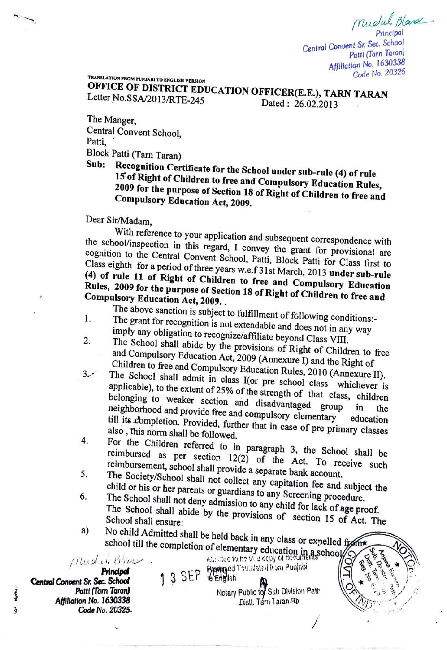Mudul, Blass Principal

 $\mathcal{R}$ 

Central Convent Sr Sec. School Patti (Tarn Taran) Afiliation No. 1630338 Code No. 20325

TRANSLATION FROM PUNJABI TO ENGLISH VERSION

**OFFICE OF DISTRICT EDUCATION OFFICER(E.E.), TARN TARAN**<br>Letter No.SSA/2013/RTE 245

Letter No.SSA/2013/RTE-245

Dated: 26.02.2013

The Manger, Central Convent School, Patti,<br>Block Patti (Tarn Taran)

Sub: Recognition Certificate for the School under sub-rule (4) of rule<br>15 of Right of Children to free and Compulsory Education Rules, 2009 15 of Right of Children to free and Compulsory Education Rules,<br>2009 for the purpose of Section 18 of Right of Children to free and<br>Compulsory Education Act, 2009.

Dear Sir/Madam,

With reference to your application and subsequent correspondence with the school/inspection in this regard, I convey the grant for provisional are cognition to the Central Convent School, Patti, Block Patti for Class first to Class eighth for a period of three years w.e.f 31st March 2013 underwall Class eighth for a period of three years w.e.f 31st March, 2013 under sub-rule (4) of rule 11 of Right of Children to free and Compulsory Education Rules, 2009 for the purpose of Section 18 of Right of Children to free and Compulsory Education Act. 2009. Rules, 2009 for the purpose of Section 18 of Right of Children to free and<br>Compulsory Education Act, 2009.

The above sanction is subject to fulfillment of following conditions:<br>The grant for recognition is not extendable and does not in any way<br>imply any obligation to recognize/affiliate beyond Class VIII.  $\mathbf{1}$ . 2

- The School shall abide by the provisions of Right of Children to free<br>and Compulsory Education Act, 2009 (Annexure I) and the Right of
- The School shall admit able by the provisions of Right of Children to free<br>and Compulsory Education Act, 2009 (Annexure I) and the Right of<br>Children to free and Compulsory Education Rules, 2010 (Annexure II).<br>The School sh  $3$ belonging to weaker section and disadvantaged group in the neighborhood and provide free and compulsory elementary education education
- $4.$
- 5.
- also, this norm shall be followed.<br>For the Children referred to in paragraph 3, the School shall be<br>reimbursed as per section 12(2) of the Act. To receive such<br>reimbursement, school shall provide a separate bank account.<br>T 6.
- No child Admitted shall be held back in any class or expelled from a) school till the completion of elementary education in a school<br>Attached to be the cosy of accuments of the probability of the state of The state of the punishi

13 SEP engish Princlpal Central Convent Sr. Sec. School Patti (Tarn Taran) Affiliation No. 1630338 Code No. 20325.

į à SEP & English Notary Public for Sub Division Patt-Dislt. Tárn Taran.Ah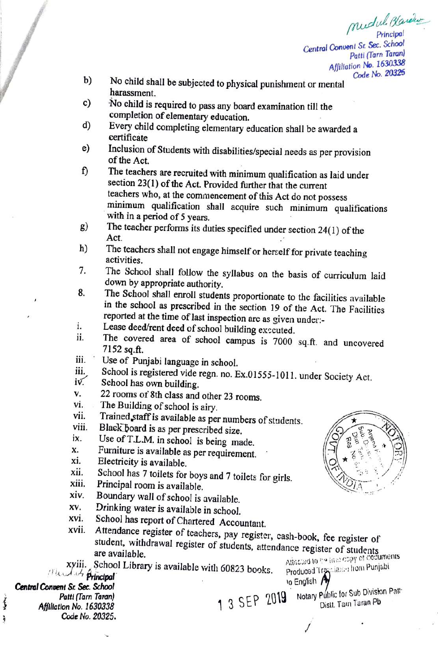mudul. Blancher Princlpal Central Conuent Sr Sec. School Patti (Tarn Taran) Affillation No. 1630338 Code No. 20325

- No child shall be subjected to physical punishment or mental harassment. b)
- No child is required to pass any board examination till the  $c)$ completion of elementary education.
- d) Every child completing elementary education shall be awarded a certificate
- Inclusion of Students with disabilities/special needs as per provision of the Act. e)
- The teachers are recruited with minimum qualification as laid under f) section 23(1) of the Act. Provided further that the current teachers who, at the commencement of this Act do not possess minimum qualification shall acquire such minimum qualifications<br>with in a period of 5 years.<br>g) The teacher performs its duties specified under section  $24(1)$  of the
- Act.
- The teachers shall not engage himself or herself for private teaching<br>activities.<br>The School shall follow the syllabus on the basis of curriculum laid h)
- T.
- down by appropriate authority.<br>The School shall enroll students proportionate to the facilities available<br>in the school as prescribed in the section 19 of the Act. The Facilities<br>reported at the time of last inspection are 8.
- Lease deed/rent deed of school building exccuted. .
- The covered area of school campus is 7000 sq.ft. and uncovered 7152 sq.ft. 11.
- Use of Punjabi language in school. ii.
- School is registered vide regn. no. Ex.01555-1011. under Society Act.<br>School has own building. iii.
- $iv$ .
- 22 rooms of 8th class and other 23 rooms.<br>The Building of school is airy. V.
- vi.
- Trained staff is available as per numbers of students.<br>Black board is as per prescribed size. vii.
- 
- ix.
- Furniture is available as per requirement. Electricity is available. X.
- X1.
- xii. School has 7 toilets for boys and 7 toilets for girls.  $\Box$   $\Box$
- 
- Principal room is available.<br>Boundary wall of school is available. X1V.
- Xv.
- Drinking water is available in school.<br>School has report of Chartered Accountant.
- Xvi. School has report of Chartered Accountant.<br>
xvii. Attendance register of teachers, pay register, cash-book, fee register of student, withdrawal register of students, attendance register of students are available.<br>
Att Produced Trayslands hom Punjabi
- xyiii. School Library is available with 60823 books.

Central Convent Sr Sec. School Patti (Tarn Taran) Affiliation No. 1630338 Code No. 20325.

Werk à

viii. Black board is as per prescribed size.<br>  $\begin{pmatrix} 0 & 0 \\ 0 & 0 \end{pmatrix}$  is being made.  $\sigma$ TNDI

1 3 SEP 2019

o English Dist. Tarn Taran Pb